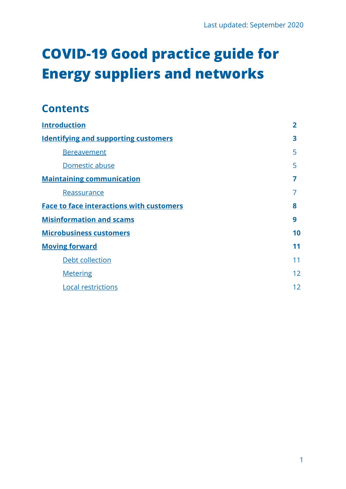# **COVID-19 Good practice guide for Energy suppliers and networks**

### **Contents**

| <b>Introduction</b>                             | $\overline{2}$ |
|-------------------------------------------------|----------------|
| <b>Identifying and supporting customers</b>     | 3              |
| <b>Bereavement</b>                              | 5              |
| Domestic abuse                                  | 5              |
| <b>Maintaining communication</b>                | 7              |
| Reassurance                                     |                |
| <b>Face to face interactions with customers</b> | 8              |
| <b>Misinformation and scams</b>                 | 9              |
| <b>Microbusiness customers</b>                  | 10             |
| <b>Moving forward</b>                           | 11             |
| Debt collection                                 | 11             |
| <b>Metering</b>                                 | 12             |
| <b>Local restrictions</b>                       | 12             |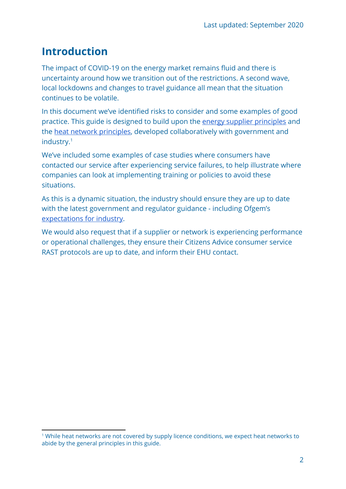# <span id="page-1-0"></span>**Introduction**

The impact of COVID-19 on the energy market remains fluid and there is uncertainty around how we transition out of the restrictions. A second wave, local lockdowns and changes to travel guidance all mean that the situation continues to be volatile.

In this document we've identified risks to consider and some examples of good practice. This guide is designed to build upon the [energy supplier principles](https://www.gov.uk/government/news/government-agrees-measures-with-energy-industry-to-support-vulnerable-people-through-covid-19) and the [heat network principles](https://www.theade.co.uk/news/policy-and-regulation/hnic-agreement), developed collaboratively with government and industry.<sup>1</sup>

We've included some examples of case studies where consumers have contacted our service after experiencing service failures, to help illustrate where companies can look at implementing training or policies to avoid these situations.

As this is a dynamic situation, the industry should ensure they are up to date with the latest government and regulator guidance - including Ofgem's [expectations for industry.](https://www.ofgem.gov.uk/publications-and-updates/ofgem-information-energy-licensees-coronavirus-covid-19-response-30-june-update)

We would also request that if a supplier or network is experiencing performance or operational challenges, they ensure their Citizens Advice consumer service RAST protocols are up to date, and inform their EHU contact.

<sup>&</sup>lt;sup>1</sup> While heat networks are not covered by supply licence conditions, we expect heat networks to abide by the general principles in this guide.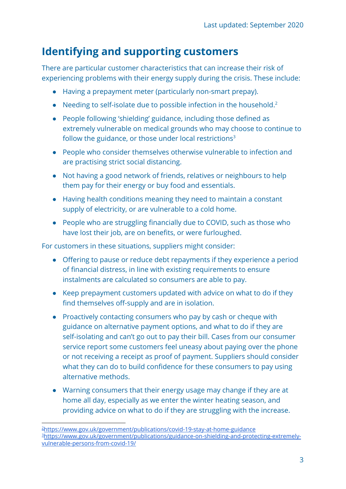### <span id="page-2-0"></span>**Identifying and supporting customers**

There are particular customer characteristics that can increase their risk of experiencing problems with their energy supply during the crisis. These include:

- Having a prepayment meter (particularly non-smart prepay).
- Needing to self-isolate due to possible infection in the household.<sup>2</sup>
- People following 'shielding' guidance, including those defined as extremely vulnerable on medical grounds who may choose to continue to follow the guidance, or those under local restrictions $3$
- People who consider themselves otherwise vulnerable to infection and are practising strict social distancing.
- Not having a good network of friends, relatives or neighbours to help them pay for their energy or buy food and essentials.
- Having health conditions meaning they need to maintain a constant supply of electricity, or are vulnerable to a cold home.
- People who are struggling financially due to COVID, such as those who have lost their job, are on benefits, or were furloughed.

For customers in these situations,suppliers might consider:

- Offering to pause or reduce debt repayments if they experience a period of financial distress, in line with existing requirements to ensure instalments are calculated so consumers are able to pay.
- Keep prepayment customers updated with advice on what to do if they find themselves off-supply and are in isolation.
- Proactively contacting consumers who pay by cash or cheque with guidance on alternative payment options, and what to do if they are self-isolating and can't go out to pay their bill. Cases from our consumer service report some customers feel uneasy about paying over the phone or not receiving a receipt as proof of payment. Suppliers should consider what they can do to build confidence for these consumers to pay using alternative methods.
- Warning consumers that their energy usage may change if they are at home all day, especially as we enter the winter heating season, and providing advice on what to do if they are struggling with the increase.

<sup>2</sup><https://www.gov.uk/government/publications/covid-19-stay-at-home-guidance> 3[https://www.gov.uk/government/publications/guidance-on-shielding-and-protecting-extremely](https://www.gov.uk/government/publications/guidance-on-shielding-and-protecting-extremely-vulnerable-persons-from-covid-19/)[vulnerable-persons-from-covid-19/](https://www.gov.uk/government/publications/guidance-on-shielding-and-protecting-extremely-vulnerable-persons-from-covid-19/)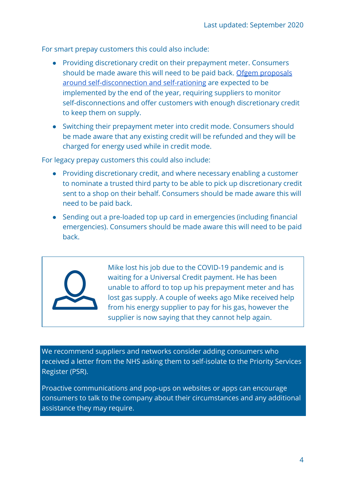For smart prepay customers this could also include:

- Providing discretionary credit on their prepayment meter. Consumers should be made aware this will need to be paid back. [Ofgem proposals](https://www.ofgem.gov.uk/publications-and-updates/self-disconnection-and-self-rationing-final-proposals-statutory-consultation) [around self-disconnection and self-rationing](https://www.ofgem.gov.uk/publications-and-updates/self-disconnection-and-self-rationing-final-proposals-statutory-consultation) are expected to be implemented by the end of the year, requiring suppliers to monitor self-disconnections and offer customers with enough discretionary credit to keep them on supply.
- Switching their prepayment meter into credit mode. Consumers should be made aware that any existing credit will be refunded and they will be charged for energy used while in credit mode.

For legacy prepay customers this could also include:

- Providing discretionary credit, and where necessary enabling a customer to nominate a trusted third party to be able to pick up discretionary credit sent to a shop on their behalf. Consumers should be made aware this will need to be paid back.
- Sending out a pre-loaded top up card in emergencies (including financial emergencies). Consumers should be made aware this will need to be paid back.



Mike lost his job due to the COVID-19 pandemic and is waiting for a Universal Credit payment. He has been unable to afford to top up his prepayment meter and has lost gas supply. A couple of weeks ago Mike received help from his energy supplier to pay for his gas, however the supplier is now saying that they cannot help again.

We recommend suppliers and networks consider adding consumers who received a letter from the NHS asking them to self-isolate to the Priority Services Register (PSR).

Proactive communications and pop-ups on websites or apps can encourage consumers to talk to the company about their circumstances and any additional assistance they may require.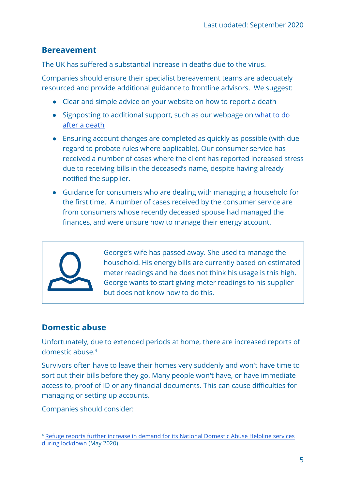#### <span id="page-4-0"></span>**Bereavement**

The UK has suffered a substantial increase in deaths due to the virus.

Companies should ensure their specialist bereavement teams are adequately resourced and provide additional guidance to frontline advisors. We suggest:

- Clear and simple advice on your website on how to report a death
- Signposting to additional support, such as our webpage on [what to do](https://www.citizensadvice.org.uk/family/death-and-wills/) [after a death](https://www.citizensadvice.org.uk/family/death-and-wills/)
- Ensuring account changes are completed as quickly as possible (with due regard to probate rules where applicable). Our consumer service has received a number of cases where the client has reported increased stress due to receiving bills in the deceased's name, despite having already notified the supplier.
- Guidance for consumers who are dealing with managing a household for the first time. A number of cases received by the consumer service are from consumers whose recently deceased spouse had managed the finances, and were unsure how to manage their energy account.



George's wife has passed away. She used to manage the household. His energy bills are currently based on estimated meter readings and he does not think his usage is this high. George wants to start giving meter readings to his supplier but does not know how to do this.

### <span id="page-4-1"></span>**Domestic abuse**

Unfortunately, due to extended periods at home, there are increased reports of domestic abuse.<sup>4</sup>

Survivors often have to leave their homes very suddenly and won't have time to sort out their bills before they go. Many people won't have, or have immediate access to, proof of ID or any financial documents. This can cause difficulties for managing or setting up accounts.

Companies should consider:

<sup>&</sup>lt;sup>4</sup> Refuge reports further increase in demand for its National [Domestic](https://www.refuge.org.uk/refuge-reports-further-increase-in-demand-for-its-national-domestic-abuse-helpline-services-during-lockdown/) Abuse Helpline services during [lockdown](https://www.refuge.org.uk/refuge-reports-further-increase-in-demand-for-its-national-domestic-abuse-helpline-services-during-lockdown/) (May 2020)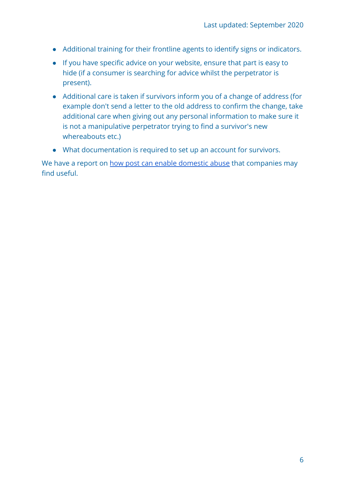- Additional training for their frontline agents to identify signs or indicators.
- If you have specific advice on your website, ensure that part is easy to hide (if a consumer is searching for advice whilst the perpetrator is present).
- Additional care is taken if survivors inform you of a change of address (for example don't send a letter to the old address to confirm the change, take additional care when giving out any personal information to make sure it is not a manipulative perpetrator trying to find a survivor's new whereabouts etc.)
- What documentation is required to set up an account for survivors.

We have a report on [how post can enable domestic abuse](https://www.citizensadvice.org.uk/about-us/policy/policy-research-topics/post-policy-research-and-consultation-responses/post-policy-research/on-the-receiving-end-how-post-can-enable-domestic-abuse/) that companies may find useful.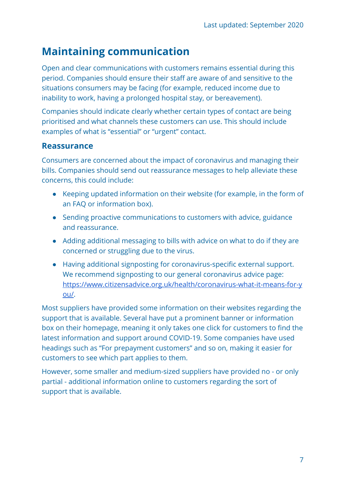# <span id="page-6-0"></span>**Maintaining communication**

Open and clear communications with customers remains essential during this period. Companies should ensure their staff are aware of and sensitive to the situations consumers may be facing (for example, reduced income due to inability to work, having a prolonged hospital stay, or bereavement).

Companies should indicate clearly whether certain types of contact are being prioritised and what channels these customers can use. This should include examples of what is "essential" or "urgent" contact.

#### <span id="page-6-1"></span>**Reassurance**

Consumers are concerned about the impact of coronavirus and managing their bills. Companies should send out reassurance messages to help alleviate these concerns, this could include:

- Keeping updated information on their website (for example, in the form of an FAQ or information box).
- Sending proactive communications to customers with advice, guidance and reassurance.
- Adding additional messaging to bills with advice on what to do if they are concerned or struggling due to the virus.
- Having additional signposting for coronavirus-specific external support. We recommend signposting to our general coronavirus advice page: [https://www.citizensadvice.org.uk/health/coronavirus-what-it-means-for-y](https://www.citizensadvice.org.uk/health/coronavirus-what-it-means-for-you/) [ou/](https://www.citizensadvice.org.uk/health/coronavirus-what-it-means-for-you/).

Most suppliers have provided some information on their websites regarding the support that is available. Several have put a prominent banner or information box on their homepage, meaning it only takes one click for customers to find the latest information and support around COVID-19. Some companies have used headings such as "For prepayment customers" and so on, making it easier for customers to see which part applies to them.

However, somesmaller and medium-sizedsuppliers have provided no - or only partial - additional information online to customers regarding the sort of support that is available.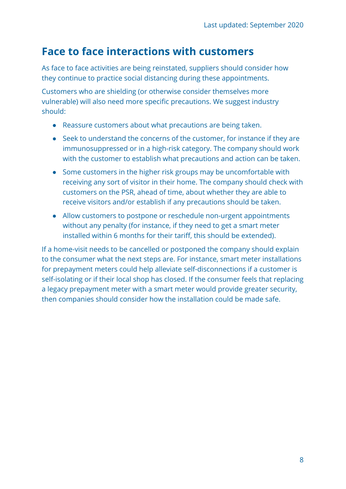### <span id="page-7-0"></span>**Face to face interactions with customers**

As face to face activities are being reinstated, suppliers should consider how they continue to practice social distancing during these appointments.

Customers who are shielding (or otherwise consider themselves more vulnerable) will also need more specific precautions. We suggest industry should:

- Reassure customers about what precautions are being taken.
- Seek to understand the concerns of the customer, for instance if they are immunosuppressed or in a high-risk category. The company should work with the customer to establish what precautions and action can be taken.
- Some customers in the higher risk groups may be uncomfortable with receiving any sort of visitor in their home. The company should check with customers on the PSR, ahead of time, about whether they are able to receive visitors and/or establish if any precautions should be taken.
- Allow customers to postpone or reschedule non-urgent appointments without any penalty (for instance, if they need to get a smart meter installed within 6 months for their tariff, this should be extended).

If a home-visit needs to be cancelled or postponed the company should explain to the consumer what the next steps are. For instance, smart meter installations for prepayment meters could help alleviate self-disconnections if a customer is self-isolating or if their local shop has closed. If the consumer feels that replacing a legacy prepayment meter with a smart meter would provide greater security, then companies should consider how the installation could be made safe.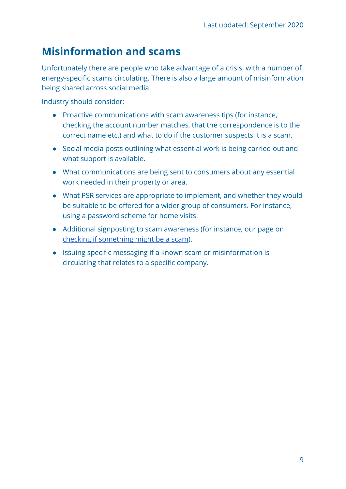# <span id="page-8-0"></span>**Misinformation and scams**

Unfortunately there are people who take advantage of a crisis, with a number of energy-specific scams circulating. There is also a large amount of misinformation being shared across social media.

Industry should consider:

- Proactive communications with scam awareness tips (for instance, checking the account number matches, that the correspondence is to the correct name etc.) and what to do if the customer suspects it is a scam.
- Social media posts outlining what essential work is being carried out and what support is available.
- What communications are being sent to consumers about any essential work needed in their property or area.
- What PSR services are appropriate to implement, and whether they would be suitable to be offered for a wider group of consumers. For instance, using a password scheme for home visits.
- Additional signposting to scam awareness (for instance, our page on [checking if something might be a scam\)](https://www.citizensadvice.org.uk/consumer/scams/check-if-something-might-be-a-scam/).
- Issuing specific messaging if a known scam or misinformation is circulating that relates to a specific company.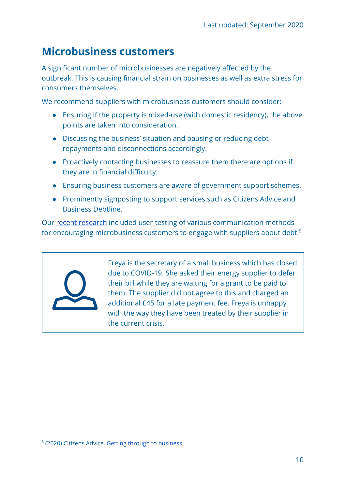### <span id="page-9-0"></span>**Microbusiness customers**

A significant number of microbusinesses are negatively affected by the outbreak. This is causing financial strain on businesses as well as extra stress for consumers themselves.

We recommend suppliers with microbusiness customers should consider:

- Ensuring if the property is mixed-use (with domestic residency), the above points are taken into consideration.
- Discussing the business' situation and pausing or reducing debt repayments and disconnections accordingly.
- Proactively contacting businesses to reassure them there are options if they are in financial difficulty.
- Ensuring business customers are aware of government support schemes.
- Prominently signposting to support services such as Citizens Advice and Business Debtline.

Our [recent research](https://www.citizensadvice.org.uk/about-us/policy/policy-research-topics/energy-policy-research-and-consultation-responses/energy-policy-research/getting-through-to-business/) included user-testing of various communication methods for encouraging microbusiness customers to engage with suppliers about debt.<sup>5</sup>



Freya is the secretary of a small business which has closed due to COVID-19. She asked their energy supplier to defer their bill while they are waiting for a grant to be paid to them. The supplier did not agree to this and charged an additional £45 for a late payment fee. Freya is unhappy with the way they have been treated by their supplier in the current crisis.

<sup>&</sup>lt;sup>5</sup> (2020) Citizens Advice. Getting through to [business.](https://www.citizensadvice.org.uk/about-us/policy/policy-research-topics/energy-policy-research-and-consultation-responses/energy-policy-research/getting-through-to-business/)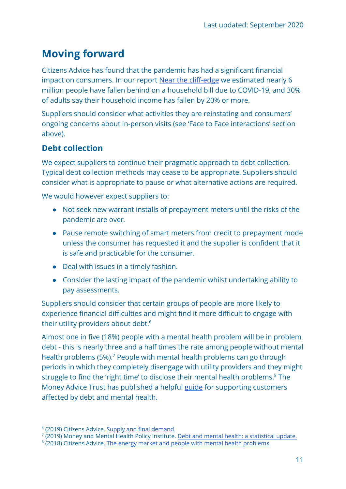# <span id="page-10-0"></span>**Moving forward**

Citizens Advice has found that the pandemic has had a significant financial impact on consumers. In our report [Near the cliff-edge](https://www.citizensadvice.org.uk/Global/CitizensAdvice/Debt%20and%20Money%20Publications/FINAL01_05%20-%20Near%20the%20cliff-edge_%20how%20to%20protect%20households%20facing%20debt%20during%20COVID-19.pdf) we estimated nearly 6 million people have fallen behind on a household bill due to COVID-19, and 30% of adults say their household income has fallen by 20% or more.

Suppliers should consider what activities they are reinstating and consumers' ongoing concerns about in-person visits (see 'Face to Face interactions' section above).

### <span id="page-10-1"></span>**Debt collection**

We expect suppliers to continue their pragmatic approach to debt collection. Typical debt collection methods may cease to be appropriate. Suppliers should consider what is appropriate to pause or what alternative actions are required.

We would however expect suppliers to:

- Not seek new warrant installs of prepayment meters until the risks of the pandemic are over*.*
- Pause remote switching of smart meters from credit to prepayment mode unless the consumer has requested it and the supplier is confident that it is safe and practicable for the consumer.
- Deal with issues in a timely fashion.
- Consider the lasting impact of the pandemic whilst undertaking ability to pay assessments.

Suppliers should consider that certain groups of people are more likely to experience financial difficulties and might find it more difficult to engage with their utility providers about debt.<sup>6</sup>

Almost one in five (18%) people with a mental health problem will be in problem debt - this is nearly three and a half times the rate among people without mental health problems (5%).<sup>7</sup> People with mental health problems can go through periods in which they completely disengage with utility providers and they might struggle to find the 'right time' to disclose their mental health problems.<sup>8</sup> The Money Advice Trust has published a helpful [guide](http://www.moneyadvicetrust.org/creditors/Documents/The%20need%20to%20know%20guide%20for%20creditors.pdf) for supporting customers affected by debt and mental health.

<sup>&</sup>lt;sup>6</sup> (2019) Citizens Advice. Supply and final [demand.](https://www.citizensadvice.org.uk/about-us/policy/policy-research-topics/energy-policy-research-and-consultation-responses/energy-policy-research/supply-and-final-demand-improving-support-for-energy-consumers-in-vulnerable-circumstances-who-fall-behind-on-their-bills/)

<sup>&</sup>lt;sup>7</sup> (2019) Money and Mental Health Policy Institute. <u>Debt and mental health: a [statistical](https://www.moneyandmentalhealth.org/debt-mental-health-update-policy/) update.</u>

<sup>&</sup>lt;sup>8</sup> (2018) Citizens Advice. The energy market and people with mental health [problems.](https://www.citizensadvice.org.uk/about-us/policy/policy-research-topics/energy-policy-research-and-consultation-responses/energy-policy-research/the-energy-market-and-people-with-mental-health-problems/)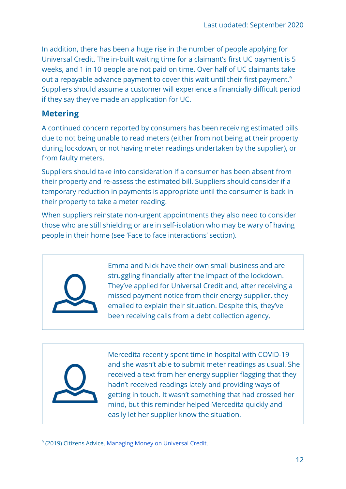In addition, there has been a huge rise in the number of people applying for Universal Credit. The in-built waiting time for a claimant's first UC payment is 5 weeks, and 1 in 10 people are not paid on time. Over half of UC claimants take out a repayable advance payment to cover this wait until their first payment.<sup>9</sup> Suppliers should assume a customer will experience a financially difficult period if they say they've made an application for UC.

### <span id="page-11-0"></span>**Metering**

A continued concern reported by consumers has been receiving estimated bills due to not being unable to read meters (either from not being at their property during lockdown, or not having meter readings undertaken by the supplier), or from faulty meters.

Suppliers should take into consideration if a consumer has been absent from their property and re-assess the estimated bill. Suppliers should consider if a temporary reduction in payments is appropriate until the consumer is back in their property to take a meter reading.

When suppliers reinstate non-urgent appointments they also need to consider those who are still shielding or are in self-isolation who may be wary of having people in their home (see 'Face to face interactions' section).



Emma and Nick have their own small business and are struggling financially after the impact of the lockdown. They've applied for Universal Credit and, after receiving a missed payment notice from their energy supplier, they emailed to explain their situation. Despite this, they've been receiving calls from a debt collection agency.



Mercedita recently spent time in hospital with COVID-19 and she wasn't able to submit meter readings as usual. She received a text from her energy supplier flagging that they hadn't received readings lately and providing ways of getting in touch. It wasn't something that had crossed her mind, but this reminder helped Mercedita quickly and easily let her supplier know the situation.

<sup>&</sup>lt;sup>9</sup> (2019) Citizens Advice. [Managing](https://www.citizensadvice.org.uk/about-us/policy/policy-research-topics/welfare-policy-research-surveys-and-consultation-responses/welfare-policy-research/managing-money-on-universal-credit/) Money on Universal Credit.